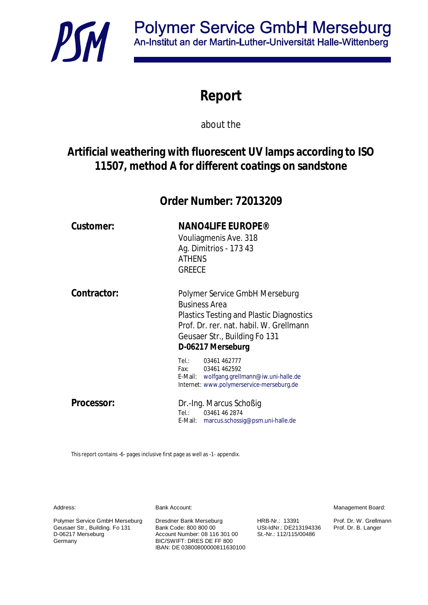

# **Report**

about the

## **Artificial weathering with fluorescent UV lamps according to ISO 11507, method A for different coatings on sandstone**

**Order Number: 72013209**

E-Mail: marcus.schossig@psm.uni-halle.de

| Customer:   | <b>NANO4LIFE EUROPE®</b><br>Vouliagmenis Ave. 318<br>Ag. Dimitrios - 173 43<br><b>ATHENS</b><br><b>GREECE</b>                                                                                              |  |
|-------------|------------------------------------------------------------------------------------------------------------------------------------------------------------------------------------------------------------|--|
| Contractor: | Polymer Service GmbH Merseburg<br><b>Business Area</b><br><b>Plastics Testing and Plastic Diagnostics</b><br>Prof. Dr. rer. nat. habil. W. Grellmann<br>Geusaer Str., Building Fo 131<br>D-06217 Merseburg |  |
|             | Tel.: 03461 462777<br>Fax: 03461 462592<br>E-Mail: wolfgang.grellmann@iw.uni-halle.de<br>Internet: www.polymerservice-merseburg.de                                                                         |  |
| Processor:  | Dr.-Ing. Marcus Schoßig<br>Tel.: Tel<br>03461 46 2874                                                                                                                                                      |  |

This report contains -6- pages inclusive first page as well as -1- appendix.

Bank Account:

Address:

Polymer Service GmbH Merseburg Geusaer Str., Building. Fo 131 D-06217 Merseburg Germany

Dresdner Bank Merseburg Bank Code: 800 800 00 Account Number: 08 116 301 00 BIC/SWIFT: DRES DE FF 800 IBAN: DE 03800800000811630100

HRB-Nr.: 13391 USt-IdNr.: DE213194336 St.-Nr.: 112/115/00486

Management Board:

Prof. Dr. W. Grellmann Prof. Dr. B. Langer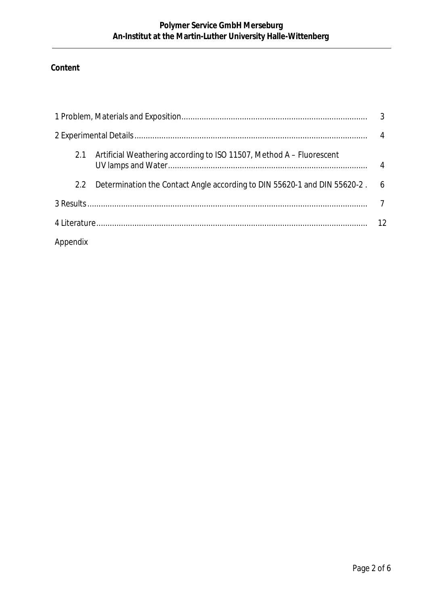### **Content**

| 3             |                                                                           |                 |  |  |
|---------------|---------------------------------------------------------------------------|-----------------|--|--|
| 4             |                                                                           |                 |  |  |
|               | 2.1 Artificial Weathering according to ISO 11507, Method A - Fluorescent  | 4               |  |  |
| $2.2^{\circ}$ | Determination the Contact Angle according to DIN 55620-1 and DIN 55620-2. | $6\overline{6}$ |  |  |
|               |                                                                           |                 |  |  |
| -12           |                                                                           |                 |  |  |
| Appendix      |                                                                           |                 |  |  |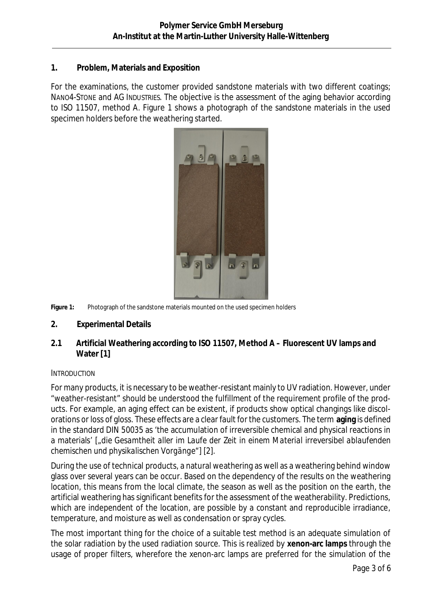### **1. Problem, Materials and Exposition**

For the examinations, the customer provided sandstone materials with two different coatings; NANO4-STONE and AG INDUSTRIES. The objective is the assessment of the aging behavior according to ISO 11507, method A. [Figure 1](#page-2-0) shows a photograph of the sandstone materials in the used specimen holders before the weathering started.



**Figure 1:** Photograph of the sandstone materials mounted on the used specimen holders

- <span id="page-2-0"></span>**2. Experimental Details**
- **2.1 Artificial Weathering according to ISO 11507, Method A Fluorescent UV lamps and Water [[1\]](#page-5-0)**

### **INTRODUCTION**

For many products, it is necessary to be weather-resistant mainly to UV radiation. However, under "weather-resistant" should be understood the fulfillment of the requirement profile of the products. For example, an aging effect can be existent, if products show optical changings like discolorations or loss of gloss. These effects are a clear fault for the customers. The term **aging** is defined in the standard DIN 50035 as 'the accumulation of irreversible chemical and physical reactions in a materials' [*"die Gesamtheit aller im Laufe der Zeit in einem Material irreversibel ablaufenden chemischen und physikalischen Vorgänge"]* [[2\]](#page-5-1).

During the use of technical products, a natural weathering as well as a weathering behind window glass over several years can be occur. Based on the dependency of the results on the weathering location, this means from the local climate, the season as well as the position on the earth, the artificial weathering has significant benefits for the assessment of the weatherability. Predictions, which are independent of the location, are possible by a constant and reproducible irradiance, temperature, and moisture as well as condensation or spray cycles.

The most important thing for the choice of a suitable test method is an adequate simulation of the solar radiation by the used radiation source. This is realized by **xenon-arc lamps** through the usage of proper filters, wherefore the xenon-arc lamps are preferred for the simulation of the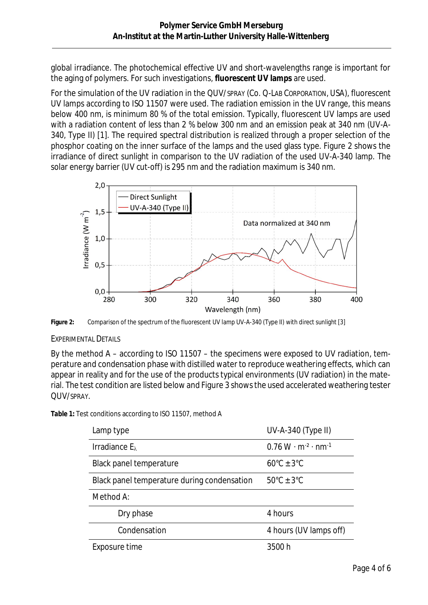global irradiance. The photochemical effective UV and short-wavelengths range is important for the aging of polymers. For such investigations, **fluorescent UV lamps** are used.

For the simulation of the UV radiation in the QUV/SPRAY (Co. Q-LAB CORPORATION, USA), fluorescent UV lamps according to ISO 11507 were used. The radiation emission in the UV range, this means below 400 nm, is minimum 80 % of the total emission. Typically, fluorescent UV lamps are used with a radiation content of less than 2 % below 300 nm and an emission peak at 340 nm (UV-A-340, Type II) [[1\]](#page-5-0). The required spectral distribution is realized through a proper selection of the phosphor coating on the inner surface of the lamps and the used glass type. [Figure 2](#page-3-0) shows the irradiance of direct sunlight in comparison to the UV radiation of the used UV-A-340 lamp. The solar energy barrier (UV cut-off) is 295 nm and the radiation maximum is 340 nm.



<span id="page-3-0"></span>**Figure 2:** Comparison of the spectrum of the fluorescent UV lamp UV-A-340 (Type II) with direct sunlight [[3\]](#page-5-2)

### EXPERIMENTAL DETAILS

By the method A – according to ISO 11507 – the specimens were exposed to UV radiation, temperature and condensation phase with distilled water to reproduce weathering effects, which can appear in reality and for the use of the products typical environments (UV radiation) in the material. The test condition are listed below and [Figure 3](#page-4-0) shows the used accelerated weathering tester QUV/SPRAY.

**Table 1:** Test conditions according to ISO 11507, method A

| Lamp type                                   | UV-A-340 (Type II)                  |
|---------------------------------------------|-------------------------------------|
| Irradiance $E_{\lambda}$                    | $0.76 W \cdot m^{-2} \cdot nm^{-1}$ |
| Black panel temperature                     | $60^{\circ}$ C ± 3 $^{\circ}$ C     |
| Black panel temperature during condensation | $50^{\circ}$ C + 3 $^{\circ}$ C     |
| Method A:                                   |                                     |
| Dry phase                                   | 4 hours                             |
| Condensation                                | 4 hours (UV lamps off)              |
| Exposure time                               | 3500 h                              |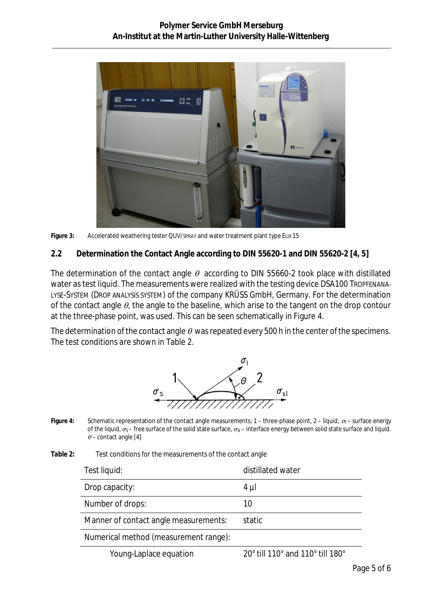

Figure 3: Accelerated weathering tester QUV/spray and water treatment plant type ELIX 15

<span id="page-4-0"></span>**2.2 Determination the Contact Angle according to DIN 55620-1 and DIN 55620-2 [[4,](#page-5-3) [5\]](#page-5-4)**

The determination of the contact angle  $\theta$  according to DIN 55660-2 took place with distillated water as test liquid. The measurements were realized with the testing device DSA100 TROPFENANA-LYSE-SYSTEM (DROP ANALYSIS SYSTEM) of the company KRÜSS GmbH, Germany. For the determination of the contact angle  $\theta$ , the angle to the baseline, which arise to the tangent on the drop contour at the three-phase point, was used. This can be seen schematically in [Figure 4.](#page-4-1)

The determination of the contact angle  $\theta$  was repeated every 500 h in the center of the specimens. The test conditions are shown in [Table 2.](#page-4-2)



- <span id="page-4-1"></span>Figure 4: Schematic representation of the contact angle measurements; 1 – three-phase point, 2 – liguid, σ<sub>l</sub> – surface energy of the liquid,  $\sigma_S$  – free surface of the solid state surface,  $\sigma_{S}$  – interface energy between solid state surface and liquid.  $\theta$  – contact angle [[4\]](#page-5-3)
- <span id="page-4-2"></span>**Table 2:** Test conditions for the measurements of the contact angle

| Test liquid:                          | distillated water                  |  |
|---------------------------------------|------------------------------------|--|
| Drop capacity:                        | 4 µl                               |  |
| Number of drops:                      | 10                                 |  |
| Manner of contact angle measurements: | static                             |  |
| Numerical method (measurement range): |                                    |  |
| Vouna Lonloss squetion                | $200$ fill 110° and 110° fill 100° |  |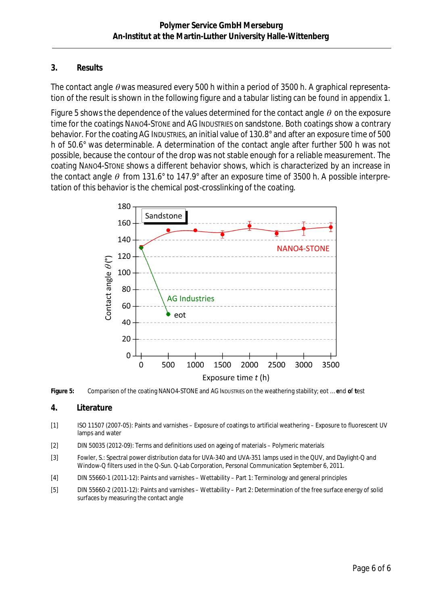### **3. Results**

The contact angle  $\theta$  was measured every 500 h within a period of 3500 h. A graphical representation of the result is shown in the following figure and a tabular listing can be found in appendix 1.

[Figure 5](#page-5-5) shows the dependence of the values determined for the contact angle  $\theta$  on the exposure time for the coatings NANO4-STONE and AG INDUSTRIES on sandstone. Both coatings show a contrary behavior. For the coating AG INDUSTRIES, an initial value of 130.8° and after an exposure time of 500 h of 50.6° was determinable. A determination of the contact angle after further 500 h was not possible, because the contour of the drop was not stable enough for a reliable measurement. The coating NANO4-STONE shows a different behavior shows, which is characterized by an increase in the contact angle  $\theta$  from 131.6° to 147.9° after an exposure time of 3500 h. A possible interpretation of this behavior is the chemical post-crosslinking of the coating.



<span id="page-5-5"></span>**Figure 5:** Comparison of the coating NANO4-STONE and AG INDUSTRIES on the weathering stability; eot … **e**nd **o**f **t**est

### **4. Literature**

- <span id="page-5-0"></span>[1] ISO 11507 (2007-05): Paints and varnishes – Exposure of coatings to artificial weathering – Exposure to fluorescent UV lamps and water
- <span id="page-5-1"></span>[2] DIN 50035 (2012-09): Terms and definitions used on ageing of materials – Polymeric materials
- <span id="page-5-2"></span>[3] Fowler, S.: Spectral power distribution data for UVA-340 and UVA-351 lamps used in the QUV, and Daylight-Q and Window-Q filters used in the Q-Sun. Q-Lab Corporation, Personal Communication September 6, 2011.
- <span id="page-5-3"></span>[4] DIN 55660-1 (2011-12): Paints and varnishes – Wettability – Part 1: Terminology and general principles
- <span id="page-5-4"></span>[5] DIN 55660-2 (2011-12): Paints and varnishes – Wettability – Part 2: Determination of the free surface energy of solid surfaces by measuring the contact angle